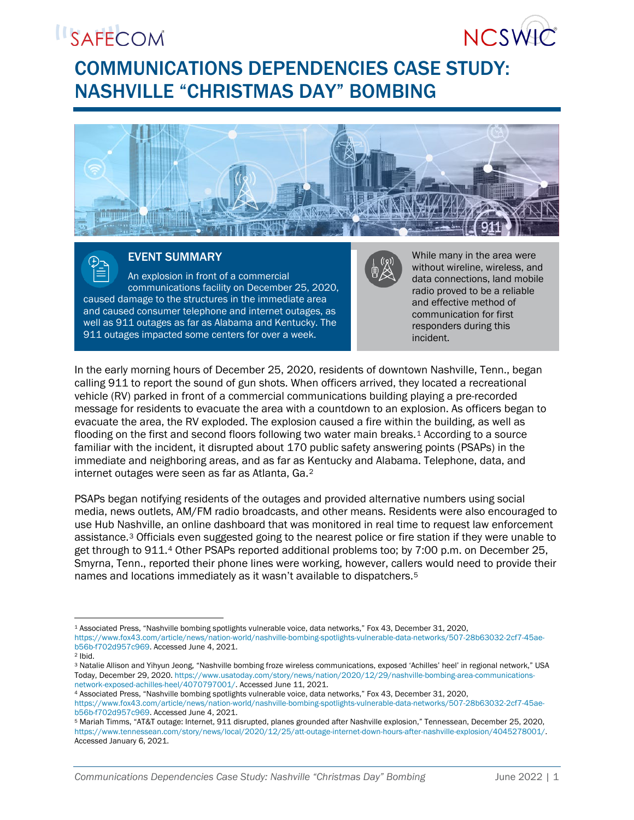## **ISAFECOM**



### COMMUNICATIONS DEPENDENCIES CASE STUDY: NASHVILLE "CHRISTMAS DAY" BOMBING



#### EVENT SUMMARY

An explosion in front of a commercial communications facility on December 25, 2020, caused damage to the structures in the immediate area and caused consumer telephone and internet outages, as well as 911 outages as far as Alabama and Kentucky. The 911 outages impacted some centers for over a week.



While many in the area were without wireline, wireless, and data connections, land mobile radio proved to be a reliable and effective method of communication for first responders during this incident.

In the early morning hours of December 25, 2020, residents of downtown Nashville, Tenn., began calling 911 to report the sound of gun shots. When officers arrived, they located a recreational vehicle (RV) parked in front of a commercial communications building playing a pre-recorded message for residents to evacuate the area with a countdown to an explosion. As officers began to evacuate the area, the RV exploded. The explosion caused a fire within the building, as well as flooding on the first and second floors following two water main breaks.1 According to a source familiar with the incident, it disrupted about 170 public safety answering points (PSAPs) in the immediate and neighboring areas, and as far as Kentucky and Alabama. Telephone, data, and internet outages were seen as far as Atlanta, Ga.2

PSAPs began notifying residents of the outages and provided alternative numbers using social media, news outlets, AM/FM radio broadcasts, and other means. Residents were also encouraged to use Hub Nashville, an online dashboard that was monitored in real time to request law enforcement assistance.3 Officials even suggested going to the nearest police or fire station if they were unable to get through to 911.4 Other PSAPs reported additional problems too; by 7:00 p.m. on December 25, Smyrna, Tenn., reported their phone lines were working, however, callers would need to provide their names and locations immediately as it wasn't available to dispatchers.5

<sup>1</sup> <sup>1</sup> Associated Press, "Nashville bombing spotlights vulnerable voice, data networks," Fox 43, December 31, 2020, [https://www.fox43.com/article/news/nation-world/nashville-bombing-spotlights-vulnerable-data-networks/507-28b63032-2cf7-45ae](https://www.fox43.com/article/news/nation-world/nashville-bombing-spotlights-vulnerable-data-networks/507-28b63032-2cf7-45ae-b56b-f702d957c969)[b56b-f702d957c969.](https://www.fox43.com/article/news/nation-world/nashville-bombing-spotlights-vulnerable-data-networks/507-28b63032-2cf7-45ae-b56b-f702d957c969) Accessed June 4, 2021.

<sup>2</sup> Ibid.

<sup>3</sup> Natalie Allison and Yihyun Jeong, "Nashville bombing froze wireless communications, exposed 'Achilles' heel' in regional network," USA Today, December 29, 2020. [https://www.usatoday.com/story/news/nation/2020/12/29/nashville-bombing-area-communications](https://www.usatoday.com/story/news/nation/2020/12/29/nashville-bombing-area-communications-network-exposed-achilles-heel/4070797001/)[network-exposed-achilles-heel/4070797001/.](https://www.usatoday.com/story/news/nation/2020/12/29/nashville-bombing-area-communications-network-exposed-achilles-heel/4070797001/) Accessed June 11, 2021.

<sup>4</sup> Associated Press, "Nashville bombing spotlights vulnerable voice, data networks," Fox 43, December 31, 2020,

[https://www.fox43.com/article/news/nation-world/nashville-bombing-spotlights-vulnerable-data-networks/507-28b63032-2cf7-45ae](https://www.fox43.com/article/news/nation-world/nashville-bombing-spotlights-vulnerable-data-networks/507-28b63032-2cf7-45ae-b56b-f702d957c969)[b56b-f702d957c969.](https://www.fox43.com/article/news/nation-world/nashville-bombing-spotlights-vulnerable-data-networks/507-28b63032-2cf7-45ae-b56b-f702d957c969) Accessed June 4, 2021.

<sup>5</sup> Mariah Timms, "AT&T outage: Internet, 911 disrupted, planes grounded after Nashville explosion," Tennessean, December 25, 2020, [https://www.tennessean.com/story/news/local/2020/12/25/att-outage-internet-down-hours-after-nashville-explosion/4045278001/.](https://www.tennessean.com/story/news/local/2020/12/25/att-outage-internet-down-hours-after-nashville-explosion/4045278001/)  Accessed January 6, 2021.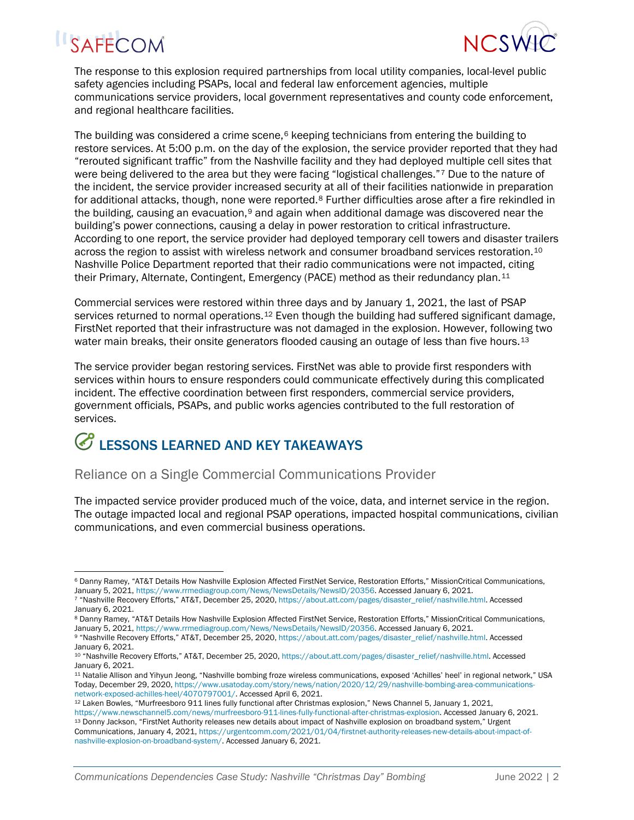# **ISAFECOM**



The response to this explosion required partnerships from local utility companies, local-level public safety agencies including PSAPs, local and federal law enforcement agencies, multiple communications service providers, local government representatives and county code enforcement, and regional healthcare facilities.

The building was considered a crime scene, $6$  keeping technicians from entering the building to restore services. At 5:00 p.m. on the day of the explosion, the service provider reported that they had "rerouted significant traffic" from the Nashville facility and they had deployed multiple cell sites that were being delivered to the area but they were facing "logistical challenges."<sup>7</sup> Due to the nature of the incident, the service provider increased security at all of their facilities nationwide in preparation for additional attacks, though, none were reported.<sup>8</sup> Further difficulties arose after a fire rekindled in the building, causing an evacuation, $\emph{9}$  and again when additional damage was discovered near the building's power connections, causing a delay in power restoration to critical infrastructure. According to one report, the service provider had deployed temporary cell towers and disaster trailers across the region to assist with wireless network and consumer broadband services restoration. 10 Nashville Police Department reported that their radio communications were not impacted, citing their Primary, Alternate, Contingent, Emergency (PACE) method as their redundancy plan.<sup>11</sup>

Commercial services were restored within three days and by January 1, 2021, the last of PSAP services returned to normal operations.<sup>12</sup> Even though the building had suffered significant damage, FirstNet reported that their infrastructure was not damaged in the explosion. However, following two water main breaks, their onsite generators flooded causing an outage of less than five hours.<sup>13</sup>

The service provider began restoring services. FirstNet was able to provide first responders with services within hours to ensure responders could communicate effectively during this complicated incident. The effective coordination between first responders, commercial service providers, government officials, PSAPs, and public works agencies contributed to the full restoration of services.

## LESSONS LEARNED AND KEY TAKEAWAYS

#### Reliance on a Single Commercial Communications Provider

The impacted service provider produced much of the voice, data, and internet service in the region. The outage impacted local and regional PSAP operations, impacted hospital communications, civilian communications, and even commercial business operations.

<sup>1</sup> <sup>6</sup> Danny Ramey, "AT&T Details How Nashville Explosion Affected FirstNet Service, Restoration Efforts," MissionCritical Communications, January 5, 2021[, https://www.rrmediagroup.com/News/NewsDetails/NewsID/20356.](https://www.rrmediagroup.com/News/NewsDetails/NewsID/20356) Accessed January 6, 2021.

<sup>7</sup> "Nashville Recovery Efforts," AT&T, December 25, 2020[, https://about.att.com/pages/disaster\\_relief/nashville.html.](https://about.att.com/pages/disaster_relief/nashville.html) Accessed January 6, 2021.

<sup>8</sup> Danny Ramey, "AT&T Details How Nashville Explosion Affected FirstNet Service, Restoration Efforts," MissionCritical Communications, January 5, 2021[, https://www.rrmediagroup.com/News/NewsDetails/NewsID/20356.](https://www.rrmediagroup.com/News/NewsDetails/NewsID/20356) Accessed January 6, 2021.

<sup>9</sup> "Nashville Recovery Efforts," AT&T, December 25, 2020[, https://about.att.com/pages/disaster\\_relief/nashville.html.](https://about.att.com/pages/disaster_relief/nashville.html) Accessed January 6, 2021.

<sup>10</sup> "Nashville Recovery Efforts," AT&T, December 25, 2020[, https://about.att.com/pages/disaster\\_relief/nashville.html.](https://about.att.com/pages/disaster_relief/nashville.html) Accessed January 6, 2021.

<sup>11</sup> Natalie Allison and Yihyun Jeong, "Nashville bombing froze wireless communications, exposed 'Achilles' heel' in regional network," USA Today, December 29, 2020, [https://www.usatoday.com/story/news/nation/2020/12/29/nashville-bombing-area-communications](https://www.usatoday.com/story/news/nation/2020/12/29/nashville-bombing-area-communications-network-exposed-achilles-heel/4070797001/)[network-exposed-achilles-heel/4070797001/.](https://www.usatoday.com/story/news/nation/2020/12/29/nashville-bombing-area-communications-network-exposed-achilles-heel/4070797001/) Accessed April 6, 2021.

<sup>12</sup> Laken Bowles, "Murfreesboro 911 lines fully functional after Christmas explosion," News Channel 5, January 1, 2021, [https://www.newschannel5.com/news/murfreesboro-911-lines-fully-functional-after-christmas-explosion.](https://www.newschannel5.com/news/murfreesboro-911-lines-fully-functional-after-christmas-explosion) Accessed January 6, 2021. <sup>13</sup> Donny Jackson, "FirstNet Authority releases new details about impact of Nashville explosion on broadband system," Urgent Communications, January 4, 2021[, https://urgentcomm.com/2021/01/04/firstnet-authority-releases-new-details-about-impact-of](https://urgentcomm.com/2021/01/04/firstnet-authority-releases-new-details-about-impact-of-nashville-explosion-on-broadband-system/)[nashville-explosion-on-broadband-system/.](https://urgentcomm.com/2021/01/04/firstnet-authority-releases-new-details-about-impact-of-nashville-explosion-on-broadband-system/) Accessed January 6, 2021.